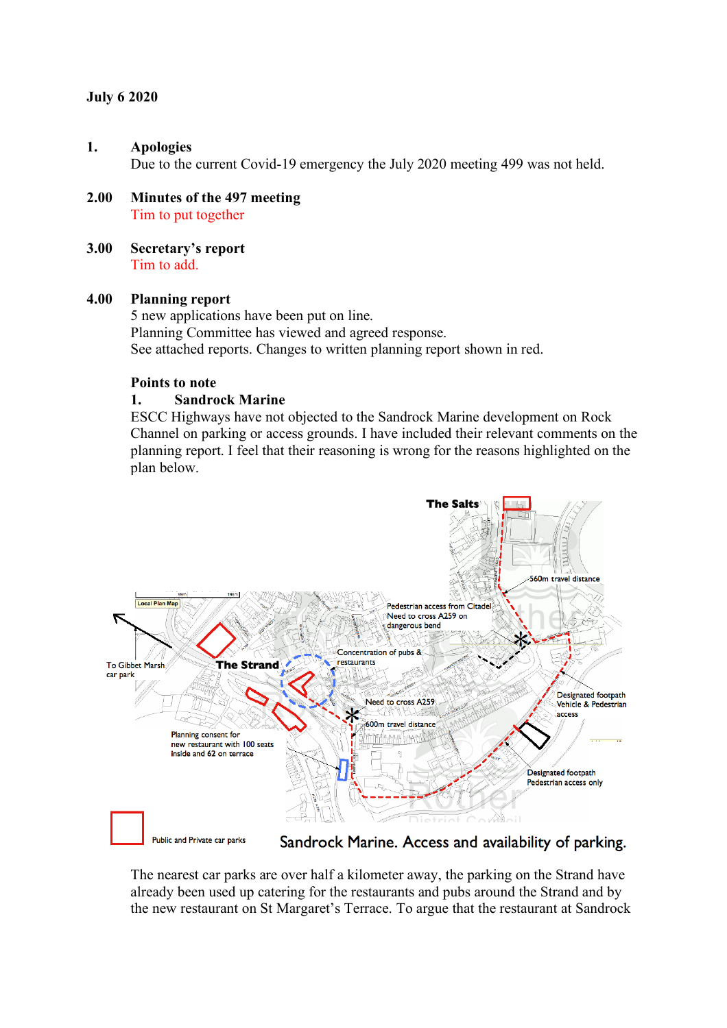## **July 6 2020**

#### **1. Apologies**

Due to the current Covid-19 emergency the July 2020 meeting 499 was not held.

- **2.00 Minutes of the 497 meeting** Tim to put together
- **3.00 Secretary's report** Tim to add.

#### **4.00 Planning report**

5 new applications have been put on line. Planning Committee has viewed and agreed response. See attached reports. Changes to written planning report shown in red.

#### **Points to note**

### **1. Sandrock Marine**

ESCC Highways have not objected to the Sandrock Marine development on Rock Channel on parking or access grounds. I have included their relevant comments on the planning report. I feel that their reasoning is wrong for the reasons highlighted on the plan below.



The nearest car parks are over half a kilometer away, the parking on the Strand have already been used up catering for the restaurants and pubs around the Strand and by the new restaurant on St Margaret's Terrace. To argue that the restaurant at Sandrock